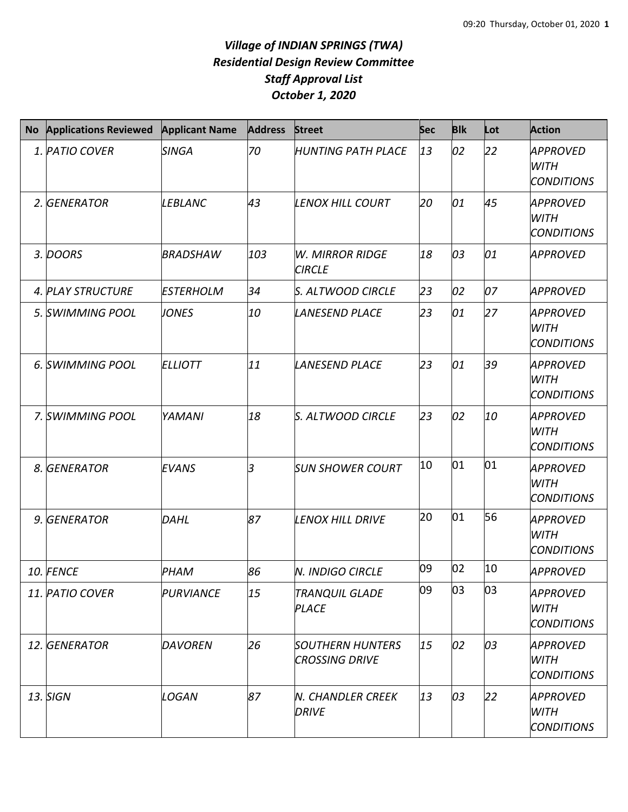## *Village of INDIAN SPRINGS (TWA) Residential Design Review Committee Staff Approval List October 1, 2020*

| <b>No</b> | <b>Applications Reviewed</b> | <b>Applicant Name</b> | <b>Address</b> | Street                                           | <b>Sec</b> | <b>Blk</b> | Lot | <b>Action</b>                                       |
|-----------|------------------------------|-----------------------|----------------|--------------------------------------------------|------------|------------|-----|-----------------------------------------------------|
|           | 1. PATIO COVER               | <b>SINGA</b>          | 70             | <b>HUNTING PATH PLACE</b>                        | 13         | 02         | 22  | APPROVED<br><b>WITH</b><br><b>CONDITIONS</b>        |
|           | 2. GENERATOR                 | <b>LEBLANC</b>        | 43             | <b>LENOX HILL COURT</b>                          | 20         | 01         | 45  | <b>APPROVED</b><br><b>WITH</b><br><b>CONDITIONS</b> |
|           | 3. DOORS                     | <b>BRADSHAW</b>       | 103            | <b>W. MIRROR RIDGE</b><br><b>CIRCLE</b>          | 18         | 03         | 01  | <b>APPROVED</b>                                     |
|           | 4. PLAY STRUCTURE            | <b>ESTERHOLM</b>      | 34             | S. ALTWOOD CIRCLE                                | 23         | 02         | 07  | <b>APPROVED</b>                                     |
|           | 5. SWIMMING POOL             | <b>JONES</b>          | 10             | <b>LANESEND PLACE</b>                            | 23         | 01         | 27  | <b>APPROVED</b><br>WITH<br><b>CONDITIONS</b>        |
|           | 6. SWIMMING POOL             | <b>ELLIOTT</b>        | 11             | <b>LANESEND PLACE</b>                            | 23         | 01         | 39  | <b>APPROVED</b><br><b>WITH</b><br><b>CONDITIONS</b> |
|           | 7. SWIMMING POOL             | YAMANI                | 18             | S. ALTWOOD CIRCLE                                | 23         | 02         | 10  | <b>APPROVED</b><br><b>WITH</b><br><b>CONDITIONS</b> |
|           | 8. GENERATOR                 | <b>EVANS</b>          | 3              | <b>SUN SHOWER COURT</b>                          | 10         | 01         | 01  | APPROVED<br><b>WITH</b><br><b>CONDITIONS</b>        |
|           | 9. GENERATOR                 | DAHL                  | 87             | <b>LENOX HILL DRIVE</b>                          | 20         | 01         | 56  | <b>APPROVED</b><br><b>WITH</b><br><b>CONDITIONS</b> |
|           | 10. FENCE                    | PHAM                  | 86             | <b>N. INDIGO CIRCLE</b>                          | 09         | 02         | 10  | <b>APPROVED</b>                                     |
|           | 11. PATIO COVER              | PURVIANCE             | 15             | TRANQUIL GLADE<br><b>PLACE</b>                   | 09         | 03         | 03  | APPROVED<br>WITH<br><b>CONDITIONS</b>               |
|           | 12. GENERATOR                | <b>DAVOREN</b>        | 26             | <b>SOUTHERN HUNTERS</b><br><b>CROSSING DRIVE</b> | 15         | 02         | 03  | APPROVED<br><b>WITH</b><br><b>CONDITIONS</b>        |
|           | 13. SIGN                     | LOGAN                 | 87             | <b>N. CHANDLER CREEK</b><br><b>DRIVE</b>         | 13         | 03         | 22  | APPROVED<br>WITH<br><b>CONDITIONS</b>               |